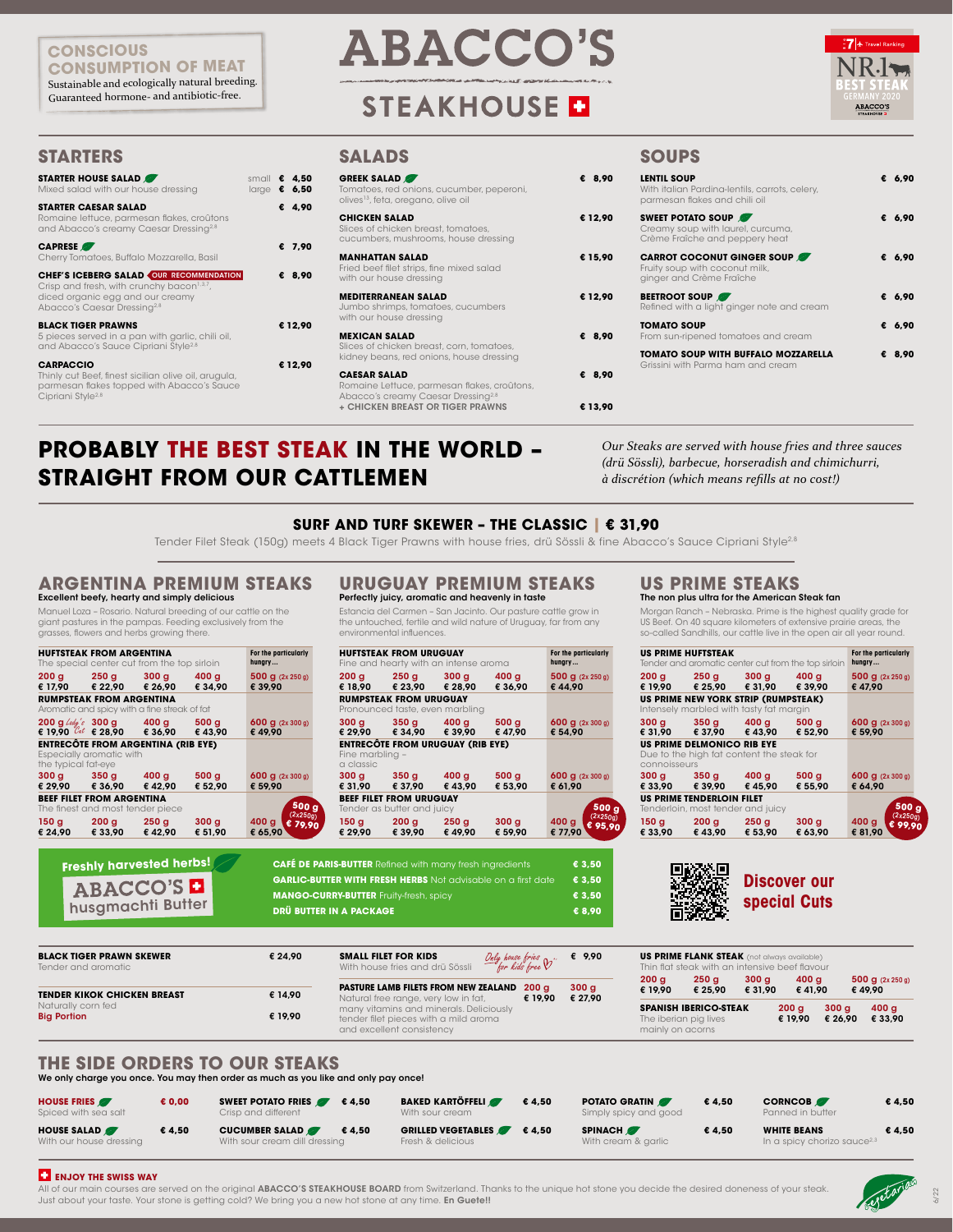| <b>STARTER HOUSE SALAD</b><br>Mixed salad with our house dressing                                                                                                                       | small $\epsilon$ 4,50<br>large $\epsilon$ 6,50 |   |         |
|-----------------------------------------------------------------------------------------------------------------------------------------------------------------------------------------|------------------------------------------------|---|---------|
| <b>STARTER CAESAR SALAD</b><br>Romaine lettuce, parmesan flakes, croûtons<br>and Abacco's creamy Caesar Dressing <sup>2,8</sup>                                                         |                                                |   | € 4.90  |
| <b>CAPRESE</b><br>Cherry Tomatoes, Buffalo Mozzarella, Basil                                                                                                                            |                                                |   | € 7.90  |
| <b>CHEF'S ICEBERG SALAD OUR RECOMMENDATION</b><br>Crisp and fresh, with crunchy bacon <sup>1,3,7</sup> ,<br>diced organic egg and our creamy<br>Abacco's Caesar Dressing <sup>2,8</sup> |                                                | € | -8,90   |
| <b>BLACK TIGER PRAWNS</b><br>5 pieces served in a pan with garlic, chili oil,<br>and Abacco's Sauce Cipriani Style <sup>2,8</sup>                                                       |                                                |   | € 12.90 |
| <b>CARPACCIO</b><br>Thinly cut Beef, finest sicilian olive oil, arugula,<br>parmesan flakes topped with Abacco's Sauce<br>Cipriani Style <sup>2,8</sup>                                 |                                                |   | € 12,90 |

| <b>GREEK SALAD</b><br>Tomatoes, red onions, cucumber, peperoni,<br>olives <sup>13</sup> , feta, oregano, olive oil                                              | € 8,90            |
|-----------------------------------------------------------------------------------------------------------------------------------------------------------------|-------------------|
| <b>CHICKEN SALAD</b><br>Slices of chicken breast, tomatoes,<br>cucumbers, mushrooms, house dressing                                                             | € 12,90           |
| <b>MANHATTAN SALAD</b><br>Fried beef filet strips, fine mixed salad<br>with our house dressing                                                                  | € 15,90           |
| <b>MEDITERRANEAN SALAD</b><br>Jumbo shrimps, tomatoes, cucumbers<br>with our house dressing                                                                     | € 12.90           |
| <b>MEXICAN SALAD</b><br>Slices of chicken breast, corn, tomatoes,<br>kidney beans, red onions, house dressing                                                   | € 8.90            |
| <b>CAESAR SALAD</b><br>Romaine Lettuce, parmesan flakes, croûtons,<br>Abacco's creamy Caesar Dressing <sup>2,8</sup><br><b>+ CHICKEN BREAST OR TIGER PRAWNS</b> | € 8,90<br>€ 13.90 |

| 90 | <b>LENTIL SOUP</b><br>With italian Pardina-lentils, carrots, celery,<br>parmesan flakes and chili oil | € 6,90   |
|----|-------------------------------------------------------------------------------------------------------|----------|
| 90 | <b>SWEET POTATO SOUP</b><br>Creamy soup with laurel, curcuma,<br>Crème Fraîche and peppery heat       | € 6,90   |
| 90 | <b>CARROT COCONUT GINGER SOUP</b><br>Fruity soup with coconut milk,<br>ginger and Crème Fraîche       | € $6,90$ |
| 90 | <b>BEETROOT SOUP</b><br>Refined with a light ginger note and cream                                    | € 6,90   |
| 90 | <b>TOMATO SOUP</b><br>From sun-ripened tomatoes and cream                                             | € 6.90   |
| 90 | <b>TOMATO SOUP WITH BUFFALO MOZZARELLA</b><br>Grissini with Parma ham and cream                       | € 8.90   |

## **STARTERS SALADS SOUPS**

We only charge you once. You may then order as much as you like and only pay once!

6/22

Manuel Loza – Rosario. Natural breeding of our cattle on the giant pastures in the pampas. Feeding exclusively from the grasses, flowers and herbs growing there.

# Perfectly juicy, aromatic and heavenly in taste

Estancia del Carmen – San Jacinto. Our pasture cattle grow in the untouched, fertile and wild nature of Uruguay, far from any environmental influences.

### Excellent beefy, hearty and simply delicious **ARGENTINA PREMIUM STEAKS URUGUAY PREMIUM STEAKS US PRIME STEAKS**

### The non plus ultra for the American Steak fan

Morgan Ranch – Nebraska. Prime is the highest quality grade for US Beef. On 40 square kilometers of extensive prairie areas, the so-called Sandhills, our cattle live in the open air all year round.

|                     | <b>HUFTSTEAK FROM ARGENTINA</b><br>The special center cut from the top sirloin       |                             | For the particularly<br>hungry          |
|---------------------|--------------------------------------------------------------------------------------|-----------------------------|-----------------------------------------|
|                     | $200 g$ $250 g$ $300 g$<br>€ 17,90 € 22,90 € 26,90                                   | 400 g<br>€ 34.90            | 500 g (2x 250 g)<br>€ 39,90             |
|                     | <b>RUMPSTEAK FROM ARGENTINA</b><br>Aromatic and spicy with a fine streak of fat      |                             |                                         |
|                     | $200 g$ Lady's $300 g$ $400 g$ $500 g$<br>€ 19.90 $\mathcal{C}_{at}$ € 28,90 € 36,90 | €43,90                      | $600$ g $(2x 300 g)$<br>€ 49,90         |
| the typical fat-eye | <b>ENTRECÔTE FROM ARGENTINA (RIB EYE)</b><br>Especially aromatic with                |                             |                                         |
|                     | $300 g$ $350 g$ $400 g$<br>€ 29,90 € 36,90 € 42,90                                   | 500 <sub>g</sub><br>€ 52.90 | $600 g$ (2x 300 g)<br>€ 59,90           |
|                     | <b>BEEF FILET FROM ARGENTINA</b><br>The finest and most tender piece                 |                             | 500 g                                   |
|                     | 150 g 200 g 250 g<br>€ 24,90 € 33,90 € 42,90                                         | 300 <sub>g</sub><br>€ 51.90 | (2x250g)<br>400 g<br>€ 79,90<br>€ 65,90 |

|              | <b>US PRIME HUFTSTEAK</b>                                                      |         | Tender and aromatic center cut from the top sirloin | For the particularly<br>hungry        |
|--------------|--------------------------------------------------------------------------------|---------|-----------------------------------------------------|---------------------------------------|
|              | $200 g$ $250 g$ $300 g$ $400 g$<br>€ 19,90 € 25,90 € 31,90 € 39,90             |         |                                                     | 500 $g$ (2x 250 g)<br>€ 47,90         |
|              | US PRIME NEW YORK STRIP (RUMPSTEAK)<br>Intensely marbled with tasty fat margin |         |                                                     |                                       |
|              | $300 g$ $350 g$ $400 g$<br>€ 31,90 € 37,90 € 43,90 € 52,90                     |         | 500 g                                               | 600 g (2x 300 g)<br>€ 59,90           |
| connoisseurs | <b>US PRIME DELMONICO RIB EYE</b><br>Due to the high fat content the steak for |         |                                                     |                                       |
|              | $300 g$ $350 g$ $400 g$<br>€ 33,90 € 39,90                                     | € 45,90 | 500g<br>€ 55,90                                     | $600 g$ (2x 300 g)<br>€ 64.90         |
|              | US PRIME TENDERLOIN FILET<br>Tenderloin, most tender and juicy                 |         |                                                     | 500 g                                 |
|              | 150 g 200 g 250 g<br>€ 33,90 € 43,90 € 53,90                                   |         | 300 g<br>€ 63,90                                    | (2x250g)<br>400 g<br>99,90<br>€ 81.90 |

## **THE SIDE ORDERS TO OUR STEAKS**

| <b>HOUSE FRIES</b><br>Spiced with sea salt    | E 0,00 | <b>SWEET POTATO FRIES</b><br>€4,50<br>Crisp and different       | <b>BAKED KARTÖFFELI</b><br>With sour cream     | €4,50 | <b>POTATO GRATIN</b><br>Simply spicy and good | €4,50 | <b>CORNCOB</b><br>Panned in butter                            | € 4.50 |
|-----------------------------------------------|--------|-----------------------------------------------------------------|------------------------------------------------|-------|-----------------------------------------------|-------|---------------------------------------------------------------|--------|
| <b>HOUSE SALAD</b><br>With our house dressing | € 4,50 | <b>CUCUMBER SALAD</b><br>€4.50<br>With sour cream dill dressing | <b>GRILLED VEGETABLES</b><br>Fresh & delicious | €4,50 | <b>SPINACH</b><br>With cream & garlic         | €4,50 | <b>WHITE BEANS</b><br>In a spicy chorizo sauce <sup>2,3</sup> | € 4,50 |

### **ENJOY THE SWISS WAY**

All of our main courses are served on the original ABACCO'S STEAKHOUSE BOARD from Switzerland. Thanks to the unique hot stone you decide the desired doneness of your steak. Just about your taste. Your stone is getting cold? We bring you a new hot stone at any time. En Guete!!



| <b>BLACK TIGER PRAWN SKEWER</b><br>Tender and aromatic | € 24.90 | <b>SMALL FILET FOR KIDS</b><br>Only house fries $\mathcal{V}$ .<br>With house fries and drü Sössli                                                               | € 9,90  |                  | <b>US PRIME FLANK STEAK</b> (not always available)<br>Thin flat steak with an intensive beef flavour |                             |                  |                 |                               |
|--------------------------------------------------------|---------|------------------------------------------------------------------------------------------------------------------------------------------------------------------|---------|------------------|------------------------------------------------------------------------------------------------------|-----------------------------|------------------|-----------------|-------------------------------|
| <b>TENDER KIKOK CHICKEN BREAST</b>                     | € 14,90 | <b>PASTURE LAMB FILETS FROM NEW ZEALAND 200 g</b>                                                                                                                | 300 g   | 200 g<br>€ 19,90 | 250q<br>€ 25,90                                                                                      | 300 <sub>q</sub><br>€ 31.90 | 400 g<br>€ 41.90 |                 | 500 $g$ (2x 250 g)<br>€ 49.90 |
| Naturally corn fed<br><b>Big Portion</b>               | € 19,90 | Natural free range, very low in fat,<br>€ 19.90<br>many vitamins and minerals. Deliciously<br>tender filet pieces with a mild aroma<br>and excellent consistency | € 27,90 | mainly on acorns | <b>SPANISH IBERICO-STEAK</b><br>The iberian pig lives                                                |                             | 200q<br>€ 19.90  | 300q<br>€ 26.90 | 400 g<br>€ 33.90              |

## **SURF AND TURF SKEWER – THE CLASSIC | € 31,90**

Tender Filet Steak (150g) meets 4 Black Tiger Prawns with house fries, drü Sössli & fine Abacco's Sauce Cipriani Style<sup>2,8</sup>

## **PROBABLY THE BEST STEAK IN THE WORLD – STRAIGHT FROM OUR CATTLEMEN**

*Our Steaks are served with house fries and three sauces (drü Sössli), barbecue, horseradish and chimichurri, à discrétion (which means refills at no cost!)*

### **CONSCIOUS CONSUMPTION OF MEAT**

Sustainable and ecologically natural breeding. Guaranteed hormone- and antibiotic-free.

# **ABACCO'S**

# **STEAKHOUSE D**



**Freshly harvested herbs!**

| .                             |
|-------------------------------|
| ABACCO'S<br>husgmachti Butter |

|                              | <b>HUFTSTEAK FROM URUGUAY</b><br>Fine and hearty with an intense aroma |                 |                     | For the particularly<br>hungry        |
|------------------------------|------------------------------------------------------------------------|-----------------|---------------------|---------------------------------------|
| 200 g                        | 250 g 300 g<br>€ 18,90 € 23,90 € 28,90                                 |                 | 400 g<br>€ 36,90    | 500 $g$ (2x 250 g)<br>€44.90          |
|                              | <b>RUMPSTEAK FROM URUGUAY</b><br>Pronounced taste, even marbling       |                 |                     |                                       |
|                              | $300 g$ $350 g$ $400 g$<br>€ 29,90 € 34,90 € 39,90                     |                 | $-500 g$<br>€ 47,90 | $600$ g $(2x 300 g)$<br>€ 54,90       |
| Fine marbling -<br>a classic | <b>ENTRECÔTE FROM URUGUAY (RIB EYE)</b>                                |                 |                     |                                       |
| 300 g<br>€ 31,90             | 350g<br>€ 37.90                                                        | 400 g<br>€43.90 | 500 g<br>€ 53,90    | $600 g$ (2x 300 g)<br>€ 61.90         |
|                              | <b>BEEF FILET FROM URUGUAY</b><br>Tender as butter and juicy           |                 |                     | 500 g                                 |
|                              | 150 g 200 g 250 g<br>€ 29.90 € 39.90                                   | € 49.90         | 300 g<br>€ 59,90    | (2x250g)<br>400 g<br>95,90<br>€ 77.90 |

**CAFÉ DE PARIS-BUTTER** Refined with many fresh ingredients **€ 3,50** 



南汉水南

| <b>GARLIC-BUTTER WITH FRESH HERBS</b> Not advisable on a first date | € 3.50 |
|---------------------------------------------------------------------|--------|
| <b>MANGO-CURRY-BUTTER Fruity-fresh, spicy</b>                       | € 3.50 |
| <b>DRÜ BUTTER IN A PACKAGE</b>                                      | € 8.90 |
|                                                                     |        |